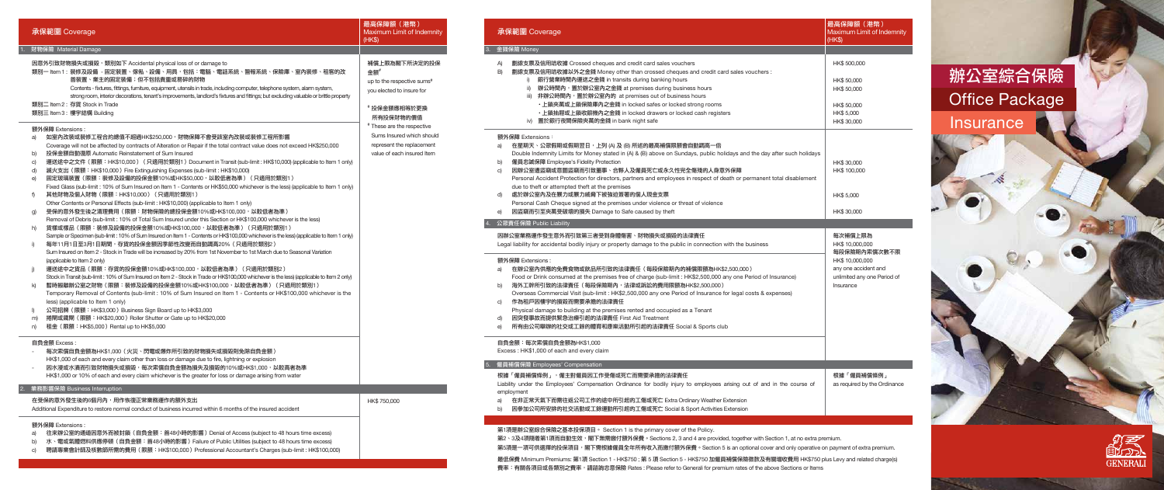- 至的通道因意外而被封韻(自貝金額:自48小時的影響)Denial of Access (subject to 48 hours time exces
- b) 水、電或氣體燃料供應停頓(自負金額:首48小時的影響)Failure of Public Utilities (subject to 48 hours time excess)
- c) 聘請專業會計師及核數師所需的費用(限額:HK\$100,000)Professional Accountant's Charges (sub-limit : HK\$100,000)

- a) 在星期天、公眾假期或假期翌日,上列 (A) 及 (B) 所述的最高補償限額會自動調高一倍 Double Indemnity Limits for Money stated in (A) & (B) above on Sundays, public holidays and the day after such holidays and the day after such as the day after such as the day after such as the day after such and the days
- b) 僱員忠誠保障 Employee's Fidelity Protection
- c) 因辦公室遭盜竊或意圖盜竊而引致董事、合夥人及僱員死亡或永久性完全傷殘的人身意外保障 Personal Accident Protection for directors, partners and employees in respect of death or due to theft or attempted theft at the premises
- d) 處於辦公室內及在暴力或暴力威脅下被強迫簽署的個人現金支票 Personal Cash Cheque signed at the premises under violence or threat of violence
- e) 因盜竊而引至夾萬受破壞的損失 Damage to Safe caused by theft

- a) 在辦公室內供應的免費食物或飲品所引致的法律責任 (每段保險期內的補償限額為HK\$2,500,0 Food or Drink consumed at the premises free of charge (sub-limit : HK\$2,500,000 any one
- b) 海外工幹所引致的法律責任 (每段保險期內,法律或訴訟的費用限額為HK\$2,500,000) Overseas Commercial Visit (sub-limit : HK\$2,500,000 any one Period of Insurance for legal
- c) 作為租戶因樓宇的損毀而需要承擔的法律責任
- Physical damage to building at the premises rented and occupied as a Tenant
- d) 因突發事故而提供緊急治療引起的法律責任 First Aid Treatment
- e) 所有由公司舉辦的社交或工餘的體育和康樂活動所引起的法律責任 Social & Sports club

Liability under the Employees' Compensation Ordinance for bodily injury to employees arising employment

- a) 在非正常天氣下而需往返公司工作的途中所引起的工傷或死亡 Extra Ordinary Weather Extensio
- b) 因參加公司所安排的社交活動或工餘運動所引起的工傷或死亡 Social & Sport Activities Extensi

第2、3及4項隨着第1項而自動生效,閣下無需繳付額外保費。Sections 2, 3 and 4 are provided, together with Section 1, at no extra premium. 第5項是一項可供選擇的投保項目,閣下需根據僱員全年所有收入而繳付額外保費。Section 5 is an optional cover and only operative on payment of extra premium.

最低保費 Minimum Premiums: 第1項 Section 1 - HK\$750 ; 第 5 項 Section 5 - HK\$750 加僱員補償保險徵款及有關增收費用 HK\$750 plus Levy and related charge(s) 費率: 有關各項目或各類別之費率,請諮詢忠意保險 Rates : Please refer to Generali for premium rates of the above Sections or Items

|                                | 承保範圍 Coverage                                                                                                                                                                                                                                                                                                                                                                                                                                                                                                                                                                                                                                                                                                                                                                                                                                                                                                                                                                                                                                                                                                                                                                                                                                                                                                                                                                                                                                                                                                                                                                                                                                                                                                                                                                                                                                                                                                                                                                                                                                                                                                                                                                                                                                                                                                                                                                                                                                                                                                                              | 最高保障額 (港幣)<br>Maximum Limit of Indemnity<br>(HKS)                                                                                                                                                                                              |    | 承保範圍 Coverage                                                                                                                                                                                                                                                                                                                                                                                                                                                                                                                                                               |
|--------------------------------|--------------------------------------------------------------------------------------------------------------------------------------------------------------------------------------------------------------------------------------------------------------------------------------------------------------------------------------------------------------------------------------------------------------------------------------------------------------------------------------------------------------------------------------------------------------------------------------------------------------------------------------------------------------------------------------------------------------------------------------------------------------------------------------------------------------------------------------------------------------------------------------------------------------------------------------------------------------------------------------------------------------------------------------------------------------------------------------------------------------------------------------------------------------------------------------------------------------------------------------------------------------------------------------------------------------------------------------------------------------------------------------------------------------------------------------------------------------------------------------------------------------------------------------------------------------------------------------------------------------------------------------------------------------------------------------------------------------------------------------------------------------------------------------------------------------------------------------------------------------------------------------------------------------------------------------------------------------------------------------------------------------------------------------------------------------------------------------------------------------------------------------------------------------------------------------------------------------------------------------------------------------------------------------------------------------------------------------------------------------------------------------------------------------------------------------------------------------------------------------------------------------------------------------------|------------------------------------------------------------------------------------------------------------------------------------------------------------------------------------------------------------------------------------------------|----|-----------------------------------------------------------------------------------------------------------------------------------------------------------------------------------------------------------------------------------------------------------------------------------------------------------------------------------------------------------------------------------------------------------------------------------------------------------------------------------------------------------------------------------------------------------------------------|
|                                | 財物保險 Material Damage                                                                                                                                                                                                                                                                                                                                                                                                                                                                                                                                                                                                                                                                                                                                                                                                                                                                                                                                                                                                                                                                                                                                                                                                                                                                                                                                                                                                                                                                                                                                                                                                                                                                                                                                                                                                                                                                                                                                                                                                                                                                                                                                                                                                                                                                                                                                                                                                                                                                                                                       |                                                                                                                                                                                                                                                | 3. | 金錢保險 Money                                                                                                                                                                                                                                                                                                                                                                                                                                                                                                                                                                  |
| f)<br>i)<br>j)<br>$\mathsf{I}$ | 因意外引致財物損失或損毀,類別如下 Accidental physical loss of or damage to<br>類別一 ltem 1 : 裝修及設備 - 固定裝置、傢俬、設備、用具,包括:電腦、電話系統、警報系統、保險庫、室內裝修、租客的改<br>善裝置、業主的固定裝備;但不包括貴重或易碎的財物<br>Contents - fixtures, fittings, furniture, equipment, utensils in trade, including computer, telephone system, alarm system,<br>strong room, interior decorations, tenant's improvements, landlord's fixtures and fittings; but excluding valuable or brittle property<br>類別二 Item 2: 存貨 Stock in Trade<br>類別三 Item 3: 樓宇結構 Building<br>額外保障 Extensions:<br>如室内改裝或裝修工程合約總值不超過HK\$250,000,財物保障不會受該室內改裝或裝修工程所影響<br>a)<br>Coverage will not be affected by contracts of Alteration or Repair if the total contract value does not exceed HK\$250,000<br>投保金額自動復原 Automatic Reinstatement of Sum Insured<br>b)<br>c)<br>運送途中之文件(限額:HK\$10,000)(只適用於類別1)Document in Transit (sub-limit : HK\$10,000) (applicable to Item 1 only)<br>d)<br>滅火支出 (限額: HK\$10,000) Fire Extinguishing Expenses (sub-limit: HK\$10,000)<br>固定玻璃裝置(限額:裝修及設備的投保金額10%或HK\$50,000,以較低者為準)(只適用於類別1)<br>e)<br>Fixed Glass (sub-limit: 10% of Sum Insured on Item 1 - Contents or HK\$50,000 whichever is the less) (applicable to Item 1 only)<br>其他財物及個人財物(限額:HK\$10,000)(只適用於類別1)<br>Other Contents or Personal Effects (sub-limit: HK\$10,000) (applicable to Item 1 only)<br>受保的意外發生後之清理費用(限額:財物保險的總投保金額10%或HK\$100,000,以較低者為準 )<br>g)<br>Removal of Debris (sub-limit: 10% of Total Sum Insured under this Section or HK\$100,000 whichever is the less)<br>貨樣或樣品(限額:裝修及設備的投保金額10%或HK\$100,000,以較低者為準)(只適用於類別1)<br>h)<br>Sample or Specimen (sub-limit: 10% of Sum Insured on Item 1 - Contents or HK\$100,000 whichever is the less) (applicable to Item 1 only)<br>每年11月1日至3月1日期間,存貨的投保金額因季節性改變而自動調高20%(只適用於類別2)<br>Sum Insured on Item 2 - Stock in Trade will be increased by 20% from 1st November to 1st March due to Seasonal Variation<br>(applicable to Item 2 only)<br>運送途中之貨品(限額:存貨的投保金額10%或HK\$100,000,以較低者為準 )( 只適用於類別2 )<br>Stock in Transit (sub-limit: 10% of Sum Insured on Item 2 - Stock in Trade or HK\$100,000 whichever is the less) (applicable to Item 2 only)<br>暫時搬離辦公室之財物(限額:裝修及設備的投保金額10%或HK\$100,000,以較低者為準)(只適用於類別1)<br>k)<br>Temporary Removal of Contents (sub-limit: 10% of Sum Insured on Item 1 - Contents or HK\$100,000 whichever is the<br>less) (applicable to Item 1 only)<br>公司招牌 (限額:HK\$3,000) Business Sign Board up to HK\$3,000<br>捲閘或鐵閘 (限額:HK\$20,000) Roller Shutter or Gate up to HK\$20,000<br>m)<br>租金 (限額: HK\$5,000) Rental up to HK\$5,000<br>n) | 補償上限為閣下所決定的投保<br>金額#<br>up to the respective sums <sup>#</sup><br>you elected to insure for<br># 投保金額應相等於更換<br>所有投保財物的價值<br># These are the respective<br>Sums Insured which should<br>represent the replacement<br>value of each insured Item |    | 劃線支票及信用咭<br>A)<br>劃線支票及信用咭<br>B)<br>銀行營業<br>i)<br>ii)<br>辦公時間<br>iii) 非辦公時<br>・上鎖夾<br>・上鎖抽<br>iv) 置於銀行<br>額外保障 Extensions:<br>在星期天、公眾假期<br>a)<br>Double Indemnity I<br>僱員忠誠保障 Empl<br>b)<br>因辦公室遭盜竊或意<br>C)<br>Personal Accident<br>due to theft or atter<br>處於辦公室內及在昜<br>d)<br>Personal Cash Che<br>因盜竊而引至夾萬受<br>e)<br>公眾責任保險 Public Liab<br>因辦公室業務運作發生意:<br>Legal liability for acciden<br>額外保障 Extensions:<br>在辦公室內供應的兒<br>a)<br>Food or Drink cons<br>海外工幹所引致的法<br>b)<br>Overseas Commer<br>作為租戶因樓宇的損<br>C)<br>Physical damage to<br>因突發事故而提供緊<br>d)<br>所有由公司舉辦的社<br>e) |
|                                | 自負金額 Excess :<br>每次索償自負金額為HK\$1,000(火災、閃電或爆炸所引致的財物損失或損毀則免除自負金額)<br>HK\$1,000 of each and every claim other than loss or damage due to fire, lightning or explosion<br>因水浸或水漬而引致財物損失或損毀,每次索償自負金額為損失及損毀的10%或HK\$1,000,以較高者為準<br>HK\$1,000 or 10% of each and every claim whichever is the greater for loss or damage arising from water                                                                                                                                                                                                                                                                                                                                                                                                                                                                                                                                                                                                                                                                                                                                                                                                                                                                                                                                                                                                                                                                                                                                                                                                                                                                                                                                                                                                                                                                                                                                                                                                                                                                                                                                                                                                                                                                                                                                                                                                                                                                                                                                                                                                      |                                                                                                                                                                                                                                                |    | 自負金額:每次索償自負:<br>Excess: HK\$1,000 of ea<br>僱員補償保險 Employees<br>根據「僱員補償條例」,                                                                                                                                                                                                                                                                                                                                                                                                                                                                                                  |
|                                | 2. 業務影響保險 Business Interruption                                                                                                                                                                                                                                                                                                                                                                                                                                                                                                                                                                                                                                                                                                                                                                                                                                                                                                                                                                                                                                                                                                                                                                                                                                                                                                                                                                                                                                                                                                                                                                                                                                                                                                                                                                                                                                                                                                                                                                                                                                                                                                                                                                                                                                                                                                                                                                                                                                                                                                            |                                                                                                                                                                                                                                                |    | Liability under the Emplo                                                                                                                                                                                                                                                                                                                                                                                                                                                                                                                                                   |
|                                | 在受保的意外發生後的6個月內,用作恢復正常業務運作的額外支出<br>Additional Expenditure to restore normal conduct of business incurred within 6 months of the insured accident                                                                                                                                                                                                                                                                                                                                                                                                                                                                                                                                                                                                                                                                                                                                                                                                                                                                                                                                                                                                                                                                                                                                                                                                                                                                                                                                                                                                                                                                                                                                                                                                                                                                                                                                                                                                                                                                                                                                                                                                                                                                                                                                                                                                                                                                                                                                                                                            | HK\$ 750,000                                                                                                                                                                                                                                   |    | employment<br>在非正常天氣下而需<br>a)<br>因參加公司所安排的<br>b)                                                                                                                                                                                                                                                                                                                                                                                                                                                                                                                            |
|                                | 額外保障 Extensions:<br>a)  往巫辦公室的通道因音外而被封銷(白負全額:首48小時的影變)Denial of Access (subject to 48 bours time excess)                                                                                                                                                                                                                                                                                                                                                                                                                                                                                                                                                                                                                                                                                                                                                                                                                                                                                                                                                                                                                                                                                                                                                                                                                                                                                                                                                                                                                                                                                                                                                                                                                                                                                                                                                                                                                                                                                                                                                                                                                                                                                                                                                                                                                                                                                                                                                                                                                                   |                                                                                                                                                                                                                                                |    | 第1項是辦公室綜合保險之                                                                                                                                                                                                                                                                                                                                                                                                                                                                                                                                                                |

- A) 劃線支票及信用咭收據 Crossed cheques and credit card sales vouchers
- B) 劃線支票及信用咭收據以外之金錢 Money other than crossed cheques and credit card sales i) 銀行營業時間內運送之金錢 in transits during banking hours
	- ii) 辦公時間內,置於辦公室內之金錢 at premises during business hours
	- iii) 非辦公時間內, 置於辦公室內的 at premises out of business hours
	- 上鎖夾萬或上鎖保險庫內之金錢 in locked safes or locked strong rooms • 上鎖抽屜或上鎖收銀機內之金錢 in locked drawers or locked cash registers
	- iv) 置於銀行夜間保險夾萬的金錢 in bank night safe

#### 額外保障 Extensions:

### 因辦公室業務運作發生意外而引致第三者受到身體傷害、財物損失或損毀的法律責任

Legal liability for accidental bodily injury or property damage to the public in connection with the

### 額外保障 Extensions :

### 自負金額:每次索償自負金額為HK\$1,000

Excess : HK\$1,000 of each and every claim

### 5. 僱員補償保險 Employees' Compensation

### 根據「僱員補償條例」,僱主對僱員因工作受傷或死亡而需要承擔的法律責任

### 4. 公眾責任保險 Public Liability

### 第1項是辦公室綜合保險之基本投保項目。 Section 1 is the primary cover of the Policy.

|                                                                       | 最高保障額 (港幣)<br>Maximum Limit of Indemnity<br>(HK\$)                                                                                |
|-----------------------------------------------------------------------|-----------------------------------------------------------------------------------------------------------------------------------|
|                                                                       |                                                                                                                                   |
| s vouchers :                                                          | HK\$ 500,000                                                                                                                      |
|                                                                       | HK\$ 50,000                                                                                                                       |
|                                                                       | HK\$ 50,000                                                                                                                       |
|                                                                       | HK\$ 50,000                                                                                                                       |
|                                                                       | HK\$ 5,000                                                                                                                        |
|                                                                       | HK\$ 30,000                                                                                                                       |
| and the day after such holidays<br>permanent total disablement        | HK\$ 30,000<br>HK\$ 100,000<br>HK\$ 5,000<br>HK\$ 30,000                                                                          |
|                                                                       |                                                                                                                                   |
| e business<br>)00 )<br>e Period of Insurance)<br>al costs & expenses) | 每次補償上限為<br>HK\$ 10,000,000<br>每段保險期內索償次數不限<br>HK\$ 10,000,000<br>any one accident and<br>unlimited any one Period of<br>Insurance |
|                                                                       |                                                                                                                                   |
| out of and in the course of                                           | 根據「僱員補償條例」<br>as required by the Ordinance                                                                                        |
| on<br>ion                                                             |                                                                                                                                   |

## Office Package 辦公室綜合保險

Insurance



### 3. 金錢保險 Money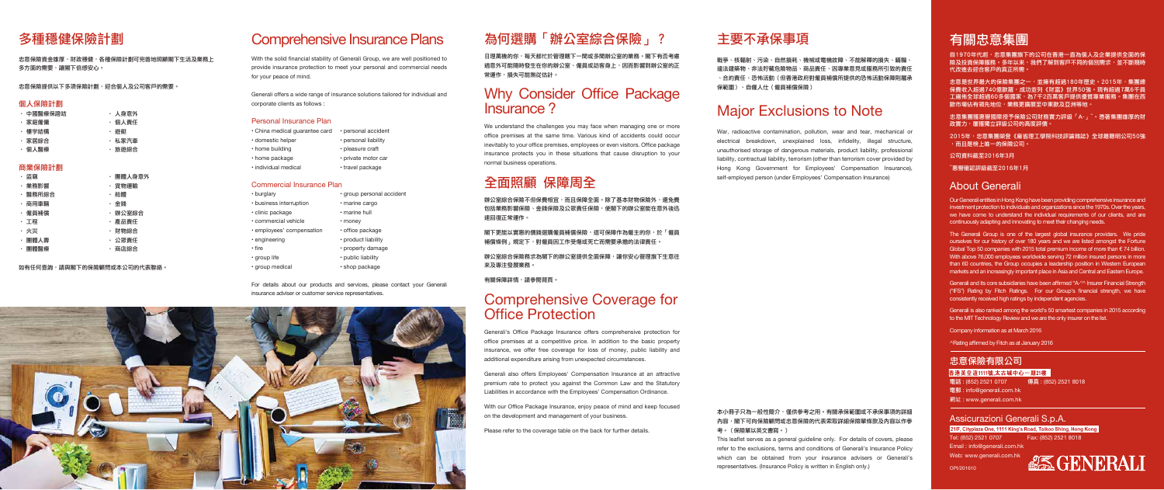## 為何選購「辦公室綜合保險」?

日理萬機的你,每天都忙於管理轄下一間或多間辦公室的業務。閣下有否考慮 過意外可能隨時發生在你的辦公室、僱員或訪客身上,因而影響到辦公室的正 常運作,損失可能無從估計。

### Why Consider Office Package Insurance ?

辦公室綜合保險不但保費相官,而日保障全面。除了基本財物保險外,還免費 包括業務影響保險、金錢保險及公眾責任保險,使閣下的辦公室能在意外後迅 速回復正常運作。

We understand the challenges you may face when managing one or more office premises at the same time. Various kind of accidents could occur inevitably to your office premises, employees or even visitors. Office package insurance protects you in these situations that cause disruption to your normal business operations.

閣下更能以實惠的價錢選購僱員補償保險,這可保障作為僱主的你,於「僱員 補償條例」規定下,對僱員因工作受傷或死亡而需要承擔的法律責任。

辦公室綜合保險務求為閣下的辦公室提供全面保障,讓你安心管理旗下生意往 來及專注發展業務。

### 全面照顧 保障周全

有關保障詳情,請參閱背頁。

### Comprehensive Coverage for Office Protection

Generali's Office Package Insurance offers comprehensive protection for office premises at a competitive price. In addition to the basic property insurance, we offer free coverage for loss of money, public liability and additional expenditure arising from unexpected circumstances.

Generali also offers Employees' Compensation Insurance at an attractive premium rate to protect you against the Common Law and the Statutory Liabilities in accordance with the Employees' Compensation Ordinance.

自1970年代起,志意集團旗下的公司在香港一直為個人及企業提供全面的保 險及投資保障服務。多年以來,我們了解到客戶不同的個別需求,並不斷隨時 代改進去迎合客戶的真正所需。

With our Office Package Insurance, enjoy peace of mind and keep focused on the development and management of your business.

忠意集團獲惠譽國際授予保險公司財務實力評級「A-」^。憑著集團雄厚的財 政實力,屢獲獨立評級公司的高度評價。

Please refer to the coverage table on the back for further details.

### 主要不承保事項

戰爭、核輻射、污染、自然損耗、機械或電機故障、不能解釋的損失、瞞騙、 違法建築物、非法貯藏危險物品、商品責任、因專業意見或服務所引致的責任 、合約責任、恐怖活動(但香港政府對僱員補償所提供的恐怖活動保障則屬承 保範圍)、自僱人仕(僱員補償保險)

### Major Exclusions to Note

War, radioactive contamination, pollution, wear and tear, mechanical or electrical breakdown, unexplained loss, infidelity, illegal structure, unauthorised storage of dangerous materials, product liability, professional liability, contractual liability, terrorism (other than terrorism cover provided by Hong Kong Government for Employees' Compensation Insurance), self-employed person (under Employees' Compensation Insurance)

#### 本小冊子只為一般性簡介,僅供參考之用。有關承保範圍或不承保事項的詳細 內容,閣下可向保險顧問或忠意保險的代表索取詳細保險單條款及內容以作參 考。(保險單以英文書寫。)

This leaflet serves as a general guideline only. For details of covers, please refer to the exclusions, terms and conditions of Generali's Insurance Policy which can be obtained from your insurance advisers or Generali's representatives. (Insurance Policy is written in English only.)

### 有關忠意集團

忠意是世界最大的保險集團之一,並擁有超過180年歷史。2015年,集團總 保費收入超過740億歐羅,成功並列《財富》世界50強。現有超過7萬6千員 工遍佈全球超過60多個國家,為7千2百萬客戶提供優質專業服務。集團在西 歐市場佔有領先地位,業務更擴展至中東歐及亞洲等地。

忠意保險資金雄厚,財政穩健,各種保險計劃可完善地照顧閣下生活及業務上 多方面的需要,讓閣下倍感安心。

忠意保險提供以下多項保險計劃,迎合個人及公司客戶的需要。

2015年,忠意集團榮登《麻省理工學院科技評論雜誌》全球最聰明公司50強 ,而且是榜上唯一的保險公司。

公司資料截至2016年3月

^惠譽確認評級截至2016年1月

### About Generali

Our Generali entities in Hong Kong have been providing comprehensive insurance and investment protection to individuals and organizations since the 1970s. Over the years, we have come to understand the individual requirements of our clients, and are continuously adapting and innovating to meet their changing needs.

The Generali Group is one of the largest global insurance providers. We pride ourselves for our history of over 180 years and we are listed amongst the Fortune Global Top 50 companies with 2015 total premium income of more than  $\epsilon$  74 billion. With above 76,000 employees worldwide serving 72 million insured persons in more than 60 countries, the Group occupies a leadership position in Western European markets and an increasingly important place in Asia and Central and Eastern Europe.

Generali and its core subsidiaries have been affirmed "A-"^ Insurer Financial Strength ("IFS") Rating by Fitch Ratings. For our Group's financial strength, we have consistently received high ratings by independent agencies.

Generali is also ranked among the world's 50 smartest companies in 2015 according to the MIT Technology Review and we are the only insurer on the list.

Company information as at March 2016

^Rating affirmed by Fitch as at January 2016

### 忠意保險有限公司

香港英皇道1111號,太古城中心一期21樓

電話 : (852) 2521 0707 傳真 : (852) 2521 8018

電郵 : info@generali.com.hk

網址 : www.generali.com.hk

### Assicurazioni Generali S.p.A.

21/F, Cityplaza One, 1111 King's Road, Taikoo Shing, Hong Kong

Tel: (852) 2521 0707 Fax: (852) 2521 8018 Email : info@generali.com.hk

Web: www.generali.com.hk



### Comprehensive Insurance Plans

With the solid financial stability of Generali Group, we are well positioned to provide insurance protection to meet your personal and commercial needs for your peace of mind.

Generali offers a wide range of insurance solutions tailored for individual and corporate clients as follows :

### Personal Insurance Plan

| • China medical quarantee card | • personal accident  |
|--------------------------------|----------------------|
| · domestic helper              | • personal liability |
| • home building                | • pleasure craft     |
| • home package                 | • private motor car  |
| · individual medical           | • travel package     |

#### Commercial Insurance Plan

| • burglary                | · group personal accident |
|---------------------------|---------------------------|
| • business interruption   | · marine cargo            |
| • clinic package          | • marine hull             |
| · commercial vehicle      | • money                   |
| · employees' compensation | • office package          |
| • engineering             | • product liability       |
| • fire                    | • property damage         |
| • group life              | • public liability        |
| · group medical           | • shop package            |

For details about our products and services, please contact your Generali insurance adviser or customer service representatives.



### 多種穩健保險計劃

### 個人保險計劃

| ・ 中國醫瘠保證店 | ・人身意外  |
|-----------|--------|
| ・家庭僱傭     | ・個人責任  |
| ・ 樓宇結構    | ・ 游艇   |
| ・家居綜合     | ・ 私家汽車 |
| ・個人醫療     | ・ 旅游綜合 |

### 商業保險計劃

| ・ 盜竊    | ・團體人身意外 |
|---------|---------|
| ・業務影響   | ・貨物運輸   |
| ・ 醫務所綜合 | ・船體     |
| ・ 商用車輛  | ・ 金錢    |
| ・ 僱員補償  | ・ 辦公室綜合 |
| ・工程     | ・ 產品責任  |
| ・火災     | ・ 財物綜合  |
| ・團體人壽   | ・公眾責任   |
| ・團體醫療   | ・ 商店綜合  |
|         |         |

如有任何查詢,請與閣下的保險顧問或本公司的代表聯絡。

OPI/201610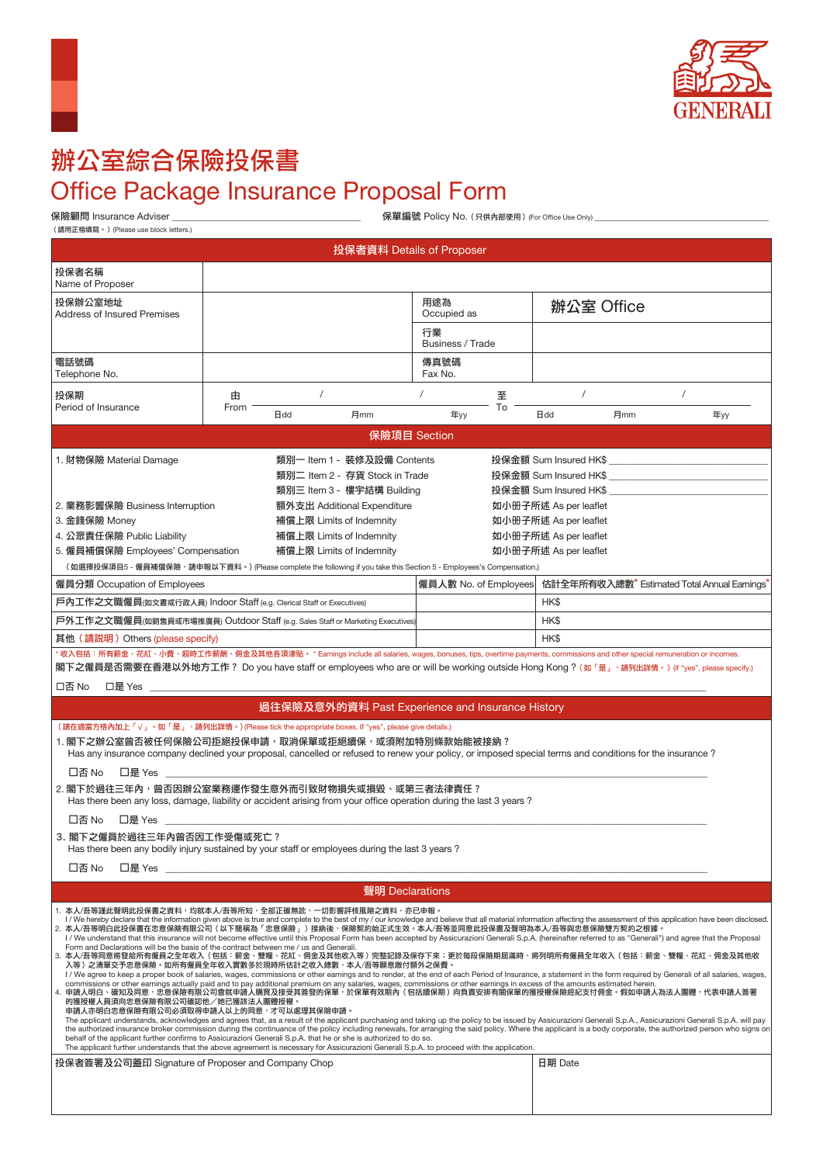



# 辦公室綜合保險投保書 **Office Package Insurance Proposal Form**

(請用正楷填寫。)(Please use block letters.)

保單編號 Policy No. (只供內部使用) (For Office Use Only) \_

| 投保者資料 Details of Proposer                                                                                                                                                                                                                                                                                                                                                                                                                                                                                                                                                                                                                                                                                                                                                                                                                                                                                                                                                                                                                                                                                                                                                                                                                                                                                                                                                                                                                                                                                                                                                                                                                                                                                                                                                                                                                                                                                                                                                                                                                                                                                                                               |           |                                                                                  |                                                                                                                            |                        |         |                                                                                                                                                                             |     |                                              |  |
|---------------------------------------------------------------------------------------------------------------------------------------------------------------------------------------------------------------------------------------------------------------------------------------------------------------------------------------------------------------------------------------------------------------------------------------------------------------------------------------------------------------------------------------------------------------------------------------------------------------------------------------------------------------------------------------------------------------------------------------------------------------------------------------------------------------------------------------------------------------------------------------------------------------------------------------------------------------------------------------------------------------------------------------------------------------------------------------------------------------------------------------------------------------------------------------------------------------------------------------------------------------------------------------------------------------------------------------------------------------------------------------------------------------------------------------------------------------------------------------------------------------------------------------------------------------------------------------------------------------------------------------------------------------------------------------------------------------------------------------------------------------------------------------------------------------------------------------------------------------------------------------------------------------------------------------------------------------------------------------------------------------------------------------------------------------------------------------------------------------------------------------------------------|-----------|----------------------------------------------------------------------------------|----------------------------------------------------------------------------------------------------------------------------|------------------------|---------|-----------------------------------------------------------------------------------------------------------------------------------------------------------------------------|-----|----------------------------------------------|--|
| 投保者名稱                                                                                                                                                                                                                                                                                                                                                                                                                                                                                                                                                                                                                                                                                                                                                                                                                                                                                                                                                                                                                                                                                                                                                                                                                                                                                                                                                                                                                                                                                                                                                                                                                                                                                                                                                                                                                                                                                                                                                                                                                                                                                                                                                   |           |                                                                                  |                                                                                                                            |                        |         |                                                                                                                                                                             |     |                                              |  |
| Name of Proposer<br>投保辦公室地址                                                                                                                                                                                                                                                                                                                                                                                                                                                                                                                                                                                                                                                                                                                                                                                                                                                                                                                                                                                                                                                                                                                                                                                                                                                                                                                                                                                                                                                                                                                                                                                                                                                                                                                                                                                                                                                                                                                                                                                                                                                                                                                             |           |                                                                                  |                                                                                                                            | 用途為                    |         |                                                                                                                                                                             |     |                                              |  |
| <b>Address of Insured Premises</b>                                                                                                                                                                                                                                                                                                                                                                                                                                                                                                                                                                                                                                                                                                                                                                                                                                                                                                                                                                                                                                                                                                                                                                                                                                                                                                                                                                                                                                                                                                                                                                                                                                                                                                                                                                                                                                                                                                                                                                                                                                                                                                                      |           |                                                                                  |                                                                                                                            | Occupied as            |         | 辦公室 Office                                                                                                                                                                  |     |                                              |  |
|                                                                                                                                                                                                                                                                                                                                                                                                                                                                                                                                                                                                                                                                                                                                                                                                                                                                                                                                                                                                                                                                                                                                                                                                                                                                                                                                                                                                                                                                                                                                                                                                                                                                                                                                                                                                                                                                                                                                                                                                                                                                                                                                                         |           |                                                                                  |                                                                                                                            | 行業<br>Business / Trade |         |                                                                                                                                                                             |     |                                              |  |
| 電話號碼<br>Telephone No.                                                                                                                                                                                                                                                                                                                                                                                                                                                                                                                                                                                                                                                                                                                                                                                                                                                                                                                                                                                                                                                                                                                                                                                                                                                                                                                                                                                                                                                                                                                                                                                                                                                                                                                                                                                                                                                                                                                                                                                                                                                                                                                                   |           |                                                                                  |                                                                                                                            | 傳真號碼<br>Fax No.        |         |                                                                                                                                                                             |     |                                              |  |
| 投保期<br>Period of Insurance                                                                                                                                                                                                                                                                                                                                                                                                                                                                                                                                                                                                                                                                                                                                                                                                                                                                                                                                                                                                                                                                                                                                                                                                                                                                                                                                                                                                                                                                                                                                                                                                                                                                                                                                                                                                                                                                                                                                                                                                                                                                                                                              | 由<br>From |                                                                                  |                                                                                                                            |                        | 至<br>To | $\prime$                                                                                                                                                                    |     | $\prime$                                     |  |
|                                                                                                                                                                                                                                                                                                                                                                                                                                                                                                                                                                                                                                                                                                                                                                                                                                                                                                                                                                                                                                                                                                                                                                                                                                                                                                                                                                                                                                                                                                                                                                                                                                                                                                                                                                                                                                                                                                                                                                                                                                                                                                                                                         |           | <b>日</b> dd                                                                      | 月mm                                                                                                                        | 年yy                    |         | <b>日dd</b>                                                                                                                                                                  | 月mm | 年yy                                          |  |
|                                                                                                                                                                                                                                                                                                                                                                                                                                                                                                                                                                                                                                                                                                                                                                                                                                                                                                                                                                                                                                                                                                                                                                                                                                                                                                                                                                                                                                                                                                                                                                                                                                                                                                                                                                                                                                                                                                                                                                                                                                                                                                                                                         |           |                                                                                  | 保險項目 Section                                                                                                               |                        |         |                                                                                                                                                                             |     |                                              |  |
| 1. 財物保險 Material Damage<br>2. 業務影響保險 Business Interruption<br>3. 金錢保險 Money<br>4. 公眾責任保險 Public Liability<br>5. 僱員補償保險 Employees' Compensation                                                                                                                                                                                                                                                                                                                                                                                                                                                                                                                                                                                                                                                                                                                                                                                                                                                                                                                                                                                                                                                                                                                                                                                                                                                                                                                                                                                                                                                                                                                                                                                                                                                                                                                                                                                                                                                                                                                                                                                                          |           | 補償上限 Limits of Indemnity<br>補償上限 Limits of Indemnity<br>補償上限 Limits of Indemnity | 類別一 Item 1 - 裝修及設備 Contents<br>類別二 Item 2 - 存貨 Stock in Trade<br>類別三 Item 3 - 樓宇結構 Building<br>額外支出 Additional Expenditure |                        |         | 投保金額 Sum Insured HK\$<br>投保金額 Sum Insured HK\$<br>投保金額 Sum Insured HK\$<br>如小册子所述 As per leaflet<br>如小册子所述 As per leaflet<br>如小册子所述 As per leaflet<br>如小册子所述 As per leaflet |     |                                              |  |
| (如選擇投保項目5 - 僱員補償保險,請申報以下資料。)(Please complete the following if you take this Section 5 - Employees's Compensation.)<br>僱員分類 Occupation of Employees                                                                                                                                                                                                                                                                                                                                                                                                                                                                                                                                                                                                                                                                                                                                                                                                                                                                                                                                                                                                                                                                                                                                                                                                                                                                                                                                                                                                                                                                                                                                                                                                                                                                                                                                                                                                                                                                                                                                                                                                      |           |                                                                                  |                                                                                                                            | 僱員人數 No. of Employees  |         |                                                                                                                                                                             |     | 估計全年所有收入總數* Estimated Total Annual Earnings* |  |
| 戶內工作之文職僱員(如文書或行政人員) Indoor Staff (e.g. Clerical Staff or Executives)                                                                                                                                                                                                                                                                                                                                                                                                                                                                                                                                                                                                                                                                                                                                                                                                                                                                                                                                                                                                                                                                                                                                                                                                                                                                                                                                                                                                                                                                                                                                                                                                                                                                                                                                                                                                                                                                                                                                                                                                                                                                                    |           |                                                                                  |                                                                                                                            |                        |         | HK\$                                                                                                                                                                        |     |                                              |  |
| 戶外工作之文職僱員(如銷售員或市場推廣員) Outdoor Staff (e.g. Sales Staff or Marketing Executives)                                                                                                                                                                                                                                                                                                                                                                                                                                                                                                                                                                                                                                                                                                                                                                                                                                                                                                                                                                                                                                                                                                                                                                                                                                                                                                                                                                                                                                                                                                                                                                                                                                                                                                                                                                                                                                                                                                                                                                                                                                                                          |           |                                                                                  |                                                                                                                            |                        |         | HK\$                                                                                                                                                                        |     |                                              |  |
| 其他 (請説明) Others (please specify)                                                                                                                                                                                                                                                                                                                                                                                                                                                                                                                                                                                                                                                                                                                                                                                                                                                                                                                                                                                                                                                                                                                                                                                                                                                                                                                                                                                                                                                                                                                                                                                                                                                                                                                                                                                                                                                                                                                                                                                                                                                                                                                        |           |                                                                                  |                                                                                                                            |                        |         | HK\$                                                                                                                                                                        |     |                                              |  |
| *收入包括:所有薪金、花紅、小費、超時工作薪酬、佣金及其他各項津貼。 * Earnings include all salaries, wages, bonuses, tips, overtime payments, commissions and other special remuneration or incomes.<br>閣下之僱員是否需要在香港以外地方工作? Do you have staff or employees who are or will be working outside Hong Kong?(如「是」,請列出詳情。) (if "yes", please specify.)                                                                                                                                                                                                                                                                                                                                                                                                                                                                                                                                                                                                                                                                                                                                                                                                                                                                                                                                                                                                                                                                                                                                                                                                                                                                                                                                                                                                                                                                                                                                                                                                                                                                                                                                                                                                                                        |           |                                                                                  |                                                                                                                            |                        |         |                                                                                                                                                                             |     |                                              |  |
| 口否 No<br>□是 Yes __                                                                                                                                                                                                                                                                                                                                                                                                                                                                                                                                                                                                                                                                                                                                                                                                                                                                                                                                                                                                                                                                                                                                                                                                                                                                                                                                                                                                                                                                                                                                                                                                                                                                                                                                                                                                                                                                                                                                                                                                                                                                                                                                      |           |                                                                                  |                                                                                                                            |                        |         |                                                                                                                                                                             |     |                                              |  |
| 過往保險及意外的資料 Past Experience and Insurance History                                                                                                                                                                                                                                                                                                                                                                                                                                                                                                                                                                                                                                                                                                                                                                                                                                                                                                                                                                                                                                                                                                                                                                                                                                                                                                                                                                                                                                                                                                                                                                                                                                                                                                                                                                                                                                                                                                                                                                                                                                                                                                        |           |                                                                                  |                                                                                                                            |                        |         |                                                                                                                                                                             |     |                                              |  |
| (請在適當方格內加上「√」。如「是」,請列出詳情。) (Please tick the appropriate boxes. If "yes", please give details.)<br>1. 閣下之辦公室曾否被任何保險公司拒絕投保申請,取消保單或拒絕續保,或須附加特別條款始能被接納?<br>Has any insurance company declined your proposal, cancelled or refused to renew your policy, or imposed special terms and conditions for the insurance?<br>口否 No<br>□是 Yes<br>2. 閣下於過往三年內,曾否因辦公室業務運作發生意外而引致財物損失或損毀、或第三者法律責任?<br>Has there been any loss, damage, liability or accident arising from your office operation during the last 3 years?<br>口否 No<br>口是 Yes                                                                                                                                                                                                                                                                                                                                                                                                                                                                                                                                                                                                                                                                                                                                                                                                                                                                                                                                                                                                                                                                                                                                                                                                                                                                                                                                                                                                                                                                                                                                                                                                                            |           |                                                                                  |                                                                                                                            |                        |         |                                                                                                                                                                             |     |                                              |  |
| 3. 閣下之僱員於過往三年內曾否因工作受傷或死亡?<br>Has there been any bodily injury sustained by your staff or employees during the last 3 years ?                                                                                                                                                                                                                                                                                                                                                                                                                                                                                                                                                                                                                                                                                                                                                                                                                                                                                                                                                                                                                                                                                                                                                                                                                                                                                                                                                                                                                                                                                                                                                                                                                                                                                                                                                                                                                                                                                                                                                                                                                            |           |                                                                                  |                                                                                                                            |                        |         |                                                                                                                                                                             |     |                                              |  |
| 口否 No                                                                                                                                                                                                                                                                                                                                                                                                                                                                                                                                                                                                                                                                                                                                                                                                                                                                                                                                                                                                                                                                                                                                                                                                                                                                                                                                                                                                                                                                                                                                                                                                                                                                                                                                                                                                                                                                                                                                                                                                                                                                                                                                                   |           |                                                                                  |                                                                                                                            |                        |         |                                                                                                                                                                             |     |                                              |  |
|                                                                                                                                                                                                                                                                                                                                                                                                                                                                                                                                                                                                                                                                                                                                                                                                                                                                                                                                                                                                                                                                                                                                                                                                                                                                                                                                                                                                                                                                                                                                                                                                                                                                                                                                                                                                                                                                                                                                                                                                                                                                                                                                                         |           |                                                                                  | 聲明 Declarations                                                                                                            |                        |         |                                                                                                                                                                             |     |                                              |  |
| 1. 本人/吾等謹此聲明此投保書之資料,均就本人/吾等所知,全部正確無訛,一切影響評核風險之資料,亦已申報。<br>I / We hereby declare that the information given above is true and complete to the best of my / our knowledge and believe that all material information affecting the assessment of this application have been disclosed.<br>2. 本人/吾等明白此投保書在忠意保險有限公司(以下簡稱為「忠意保險」)接納後,保險契約始正式生效。本人/吾等並同意此投保書及聲明為本人/吾等與忠意保險雙方契約之根據。<br>I / We understand that this insurance will not become effective until this Proposal Form has been accepted by Assicurazioni Generali S.p.A. (hereinafter referred to as "Generali") and agree that the Proposal<br>Form and Declarations will be the basis of the contract between me / us and Generali.<br>3. 本人/吾等同意將發給所有僱員之全年收入(包括:薪金、雙糧、花紅、佣金及其他收入等)完整記錄及保存下來;更於每段保險期屆滿時,將列明所有僱員全年收入(包括:薪金、雙糧、花紅、佣金及其他收<br>入等 )之清單交予忠意保險。如所有僱員全年收入實數多於現時所估計之收入總數,本人/吾等願意繳付額外之保費。<br>I/We agree to keep a proper book of salaries, wages, commissions or other earnings and to render, at the end of each Period of Insurance, a statement in the form required by Generali of all salaries, wages,<br>commissions or other earnings actually paid and to pay additional premium on any salaries, wages, commissions or other earnings in excess of the amounts estimated herein.<br>4. 申請人明白、確知及同意,忠意保險有限公司會就申請人購買及接受其簽發的保單,於保單有效期內(包括續保期)向負責安排有關保單的獲授權保險經紀支付佣金。假如申請人為法人團體,代表申請人簽署<br>的獲授權人員須向忠意保險有限公司確認他/她已獲該法人團體授權。<br>申請人亦明白忠意保險有限公司必須取得申請人以上的同意,才可以處理其保險申請。<br>The applicant understands, acknowledges and agrees that, as a result of the applicant purchasing and taking up the policy to be issued by Assicurazioni Generali S.p.A., Assicurazioni Generali S.p.A. pasicurazioni Generali<br>the authorized insurance broker commission during the continuance of the policy including renewals, for arranging the said policy. Where the applicant is a body corporate, the authorized person who signs on<br>behalf of the applicant further confirms to Assicurazioni Generali S.p.A. that he or she is authorized to do so.<br>The applicant further understands that the above agreement is necessary for Assicurazioni Generali S.p.A. to proceed with the application. |           |                                                                                  |                                                                                                                            |                        |         |                                                                                                                                                                             |     |                                              |  |
| 投保者簽署及公司蓋印 Signature of Proposer and Company Chop                                                                                                                                                                                                                                                                                                                                                                                                                                                                                                                                                                                                                                                                                                                                                                                                                                                                                                                                                                                                                                                                                                                                                                                                                                                                                                                                                                                                                                                                                                                                                                                                                                                                                                                                                                                                                                                                                                                                                                                                                                                                                                       |           |                                                                                  |                                                                                                                            |                        |         | 日期 Date                                                                                                                                                                     |     |                                              |  |